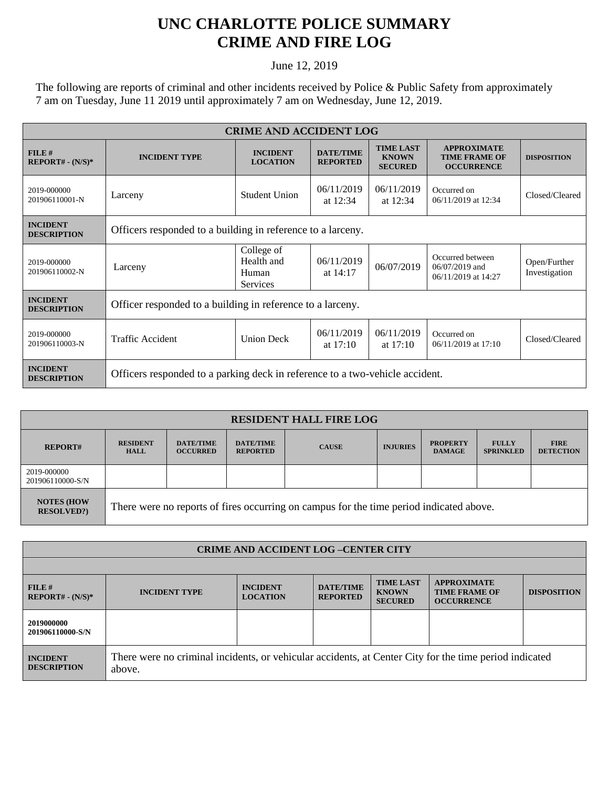## **UNC CHARLOTTE POLICE SUMMARY CRIME AND FIRE LOG**

June 12, 2019

The following are reports of criminal and other incidents received by Police & Public Safety from approximately 7 am on Tuesday, June 11 2019 until approximately 7 am on Wednesday, June 12, 2019.

| <b>CRIME AND ACCIDENT LOG</b>         |                                                                              |                                                      |                                     |                                                    |                                                                 |                               |  |  |
|---------------------------------------|------------------------------------------------------------------------------|------------------------------------------------------|-------------------------------------|----------------------------------------------------|-----------------------------------------------------------------|-------------------------------|--|--|
| FILE#<br>$REPORT# - (N/S)*$           | <b>INCIDENT TYPE</b>                                                         | <b>INCIDENT</b><br><b>LOCATION</b>                   | <b>DATE/TIME</b><br><b>REPORTED</b> | <b>TIME LAST</b><br><b>KNOWN</b><br><b>SECURED</b> | <b>APPROXIMATE</b><br><b>TIME FRAME OF</b><br><b>OCCURRENCE</b> | <b>DISPOSITION</b>            |  |  |
| 2019-000000<br>201906110001-N         | Larceny                                                                      | <b>Student Union</b>                                 | 06/11/2019<br>at $12:34$            | 06/11/2019<br>at $12:34$                           | Occurred on<br>06/11/2019 at 12:34                              | Closed/Cleared                |  |  |
| <b>INCIDENT</b><br><b>DESCRIPTION</b> | Officers responded to a building in reference to a larceny.                  |                                                      |                                     |                                                    |                                                                 |                               |  |  |
| 2019-000000<br>201906110002-N         | Larceny                                                                      | College of<br>Health and<br>Human<br><b>Services</b> | 06/11/2019<br>at $14:17$            | 06/07/2019                                         | Occurred between<br>$06/07/2019$ and<br>06/11/2019 at 14:27     | Open/Further<br>Investigation |  |  |
| <b>INCIDENT</b><br><b>DESCRIPTION</b> | Officer responded to a building in reference to a larceny.                   |                                                      |                                     |                                                    |                                                                 |                               |  |  |
| 2019-000000<br>201906110003-N         | Traffic Accident                                                             | <b>Union Deck</b>                                    | 06/11/2019<br>at $17:10$            | 06/11/2019<br>at $17:10$                           | Occurred on<br>06/11/2019 at 17:10                              | Closed/Cleared                |  |  |
| <b>INCIDENT</b><br><b>DESCRIPTION</b> | Officers responded to a parking deck in reference to a two-vehicle accident. |                                                      |                                     |                                                    |                                                                 |                               |  |  |

| <b>RESIDENT HALL FIRE LOG</b>         |                                                                                         |                                     |                                     |              |                 |                                  |                                  |                                 |
|---------------------------------------|-----------------------------------------------------------------------------------------|-------------------------------------|-------------------------------------|--------------|-----------------|----------------------------------|----------------------------------|---------------------------------|
| <b>REPORT#</b>                        | <b>RESIDENT</b><br><b>HALL</b>                                                          | <b>DATE/TIME</b><br><b>OCCURRED</b> | <b>DATE/TIME</b><br><b>REPORTED</b> | <b>CAUSE</b> | <b>INJURIES</b> | <b>PROPERTY</b><br><b>DAMAGE</b> | <b>FULLY</b><br><b>SPRINKLED</b> | <b>FIRE</b><br><b>DETECTION</b> |
| 2019-000000<br>201906110000-S/N       |                                                                                         |                                     |                                     |              |                 |                                  |                                  |                                 |
| <b>NOTES (HOW</b><br><b>RESOLVED?</b> | There were no reports of fires occurring on campus for the time period indicated above. |                                     |                                     |              |                 |                                  |                                  |                                 |

| <b>CRIME AND ACCIDENT LOG-CENTER CITY</b> |                                                                                                                  |                                    |                                     |                                                    |                                                                 |                    |  |
|-------------------------------------------|------------------------------------------------------------------------------------------------------------------|------------------------------------|-------------------------------------|----------------------------------------------------|-----------------------------------------------------------------|--------------------|--|
|                                           |                                                                                                                  |                                    |                                     |                                                    |                                                                 |                    |  |
| FILE#<br>$REPORT# - (N/S)*$               | <b>INCIDENT TYPE</b>                                                                                             | <b>INCIDENT</b><br><b>LOCATION</b> | <b>DATE/TIME</b><br><b>REPORTED</b> | <b>TIME LAST</b><br><b>KNOWN</b><br><b>SECURED</b> | <b>APPROXIMATE</b><br><b>TIME FRAME OF</b><br><b>OCCURRENCE</b> | <b>DISPOSITION</b> |  |
| 2019000000<br>201906110000-S/N            |                                                                                                                  |                                    |                                     |                                                    |                                                                 |                    |  |
| <b>INCIDENT</b><br><b>DESCRIPTION</b>     | There were no criminal incidents, or vehicular accidents, at Center City for the time period indicated<br>above. |                                    |                                     |                                                    |                                                                 |                    |  |